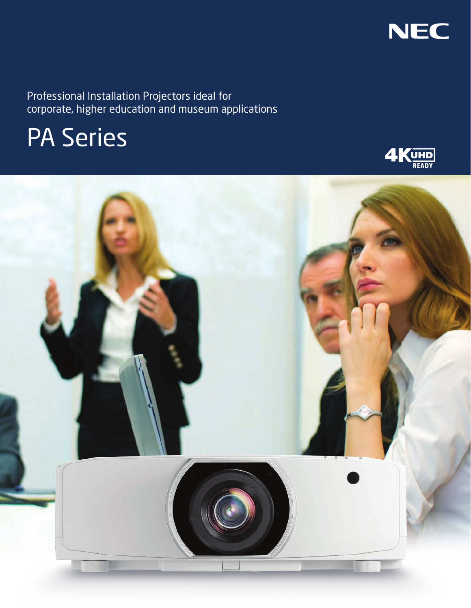

Professional Installation Projectors ideal for corporate, higher education and museum applications

# PA Series



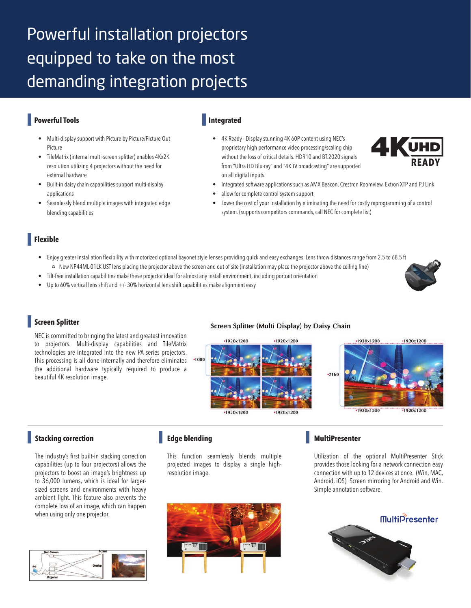## Powerful installation projectors equipped to take on the most demanding integration projects

### **Powerful Tools**

- **•** Multi-display support with Picture by Picture/Picture Out Picture
- **•** TileMatrix (internal multi-screen splitter) enables 4Kx2K resolution utilizing 4 projectors without the need for external hardware
- **•** Built-in daisy chain capabilities support multi-display applications
- **•** Seamlessly blend multiple images with integrated edge blending capabilities

#### **Integrated**

**•** 4K Ready - Display stunning 4K 60P content using NEC's proprietary high performance video processing/scaling chip without the loss of critical details. HDR10 and BT.2020 signals from "Ultra HD Blu-ray" and "4K TV broadcasting" are supported on all digital inputs.



- **•** Integrated software applications such as AMX Beacon, Crestron Roomview, Extron XTP and PJ Link
- **•** allow for complete control system support
- **•** Lower the cost of your installation by eliminating the need for costly reprogramming of a control system. (supports competitors commands, call NEC for complete list)

#### **Flexible**

- **•** Enjoy greater installation flexibility with motorized optional bayonet style lenses providing quick and easy exchanges. Lens throw distances range from 2.5 to 68.5 ft New NP44ML-01LK UST lens placing the projector above the screen and out of site (installation may place the projector above the ceiling line)
- **•** Tilt-free installation capabilities make these projector ideal for almost any install environment, including portrait orientation
- **•** Up to 60% vertical lens shift and +/- 30% horizontal lens shift capabilities make alignment easy

#### **Screen Splitter**

NEC is committed to bringing the latest and greatest innovation to projectors. Multi-display capabilities and TileMatrix technologies are integrated into the new PA series projectors. This processing is all done internally and therefore eliminates the additional hardware typically required to produce a beautiful 4K resolution image.

#### Screen Splitter (Multi Display) by Daisy Chain



#### **Stacking correction**

The industry's first built-in stacking correction capabilities (up to four projectors) allows the projectors to boost an image's brightness up to 36,000 lumens, which is ideal for largersized screens and environments with heavy ambient light. This feature also prevents the complete loss of an image, which can happen when using only one projector.



#### **Edge blending**

This function seamlessly blends multiple projected images to display a single highresolution image.



#### **MultiPresenter**

Utilization of the optional MultiPresenter Stick provides those looking for a network connection easy connection with up to 12 devices at once. (Win, MAC, Android, iOS) Screen mirroring for Android and Win. Simple annotation software.

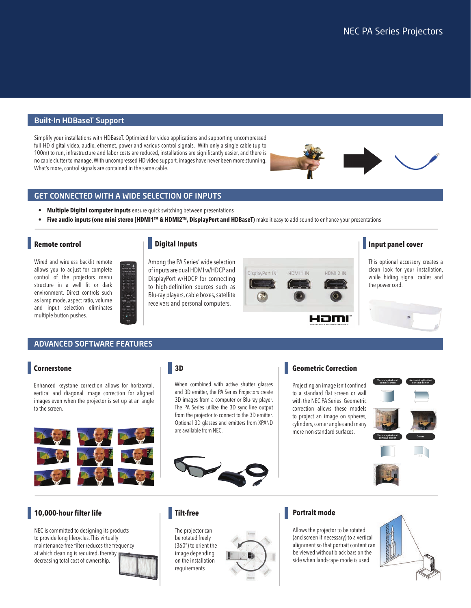#### Built-In HDBaseT Support

Simplify your installations with HDBaseT. Optimized for video applications and supporting uncompressed full HD digital video, audio, ethernet, power and various control signals. With only a single cable (up to 100m) to run, infrastructure and labor costs are reduced, installations are significantly easier, and there is no cable clutter to manage. With uncompressed HD video support, images have never been more stunning. What's more, control signals are contained in the same cable.

#### GET CONNECTED WITH A WIDE SELECTION OF INPUTS

- **Multiple Digital computer inputs** ensure quick switching between presentations
- **Five audio inputs (one mini stereo [HDMI1™ & HDMI2™, DisplayPort and HDBaseT)** make it easy to add sound to enhance your presentations

#### **Remote control**

Wired and wireless backlit remote allows you to adjust for complete control of the projectors menu structure in a well lit or dark environment. Direct controls such as lamp mode, aspect ratio, volume and input selection eliminates multiple button pushes.

#### **Digital Inputs**

Among the PA Series' wide selection of inputs are dual HDMI w/HDCP and DisplayPort w/HDCP for connecting to high-definition sources such as Blu-ray players, cable boxes, satellite receivers and personal computers.



#### **Input panel cover**

This optional accessory creates a clean look for your installation, while hiding signal cables and the power cord.



#### ADVANCED SOFTWARE FEATURES

#### **Cornerstone**

Enhanced keystone correction allows for horizontal, vertical and diagonal image correction for aligned images even when the projector is set up at an angle to the screen.



#### **3D**

**Tilt-free**

The projector can be rotated freely

requirements

When combined with active shutter glasses and 3D emitter, the PA Series Projectors create 3D images from a computer or Blu-ray player. The PA Series utilize the 3D sync line output from the projector to connect to the 3D emitter. Optional 3D glasses and emitters from XPAND are available from NEC.



#### **Geometric Correction**

Projecting an image isn't confined to a standard flat screen or wall with the NEC PA Series. Geometric correction allows these models to project an image on spheres, cylinders, corner angles and many more non-standard surfaces.



#### **10,000-hour filter life**

NEC is committed to designing its products to provide long lifecycles. This virtually maintenance-free filter reduces the frequency at which cleaning is required, thereby decreasing total cost of ownership.





#### **Portrait mode**

Allows the projector to be rotated (and screen if necessary) to a vertical alignment so that portrait content can be viewed without black bars on the side when landscape mode is used.